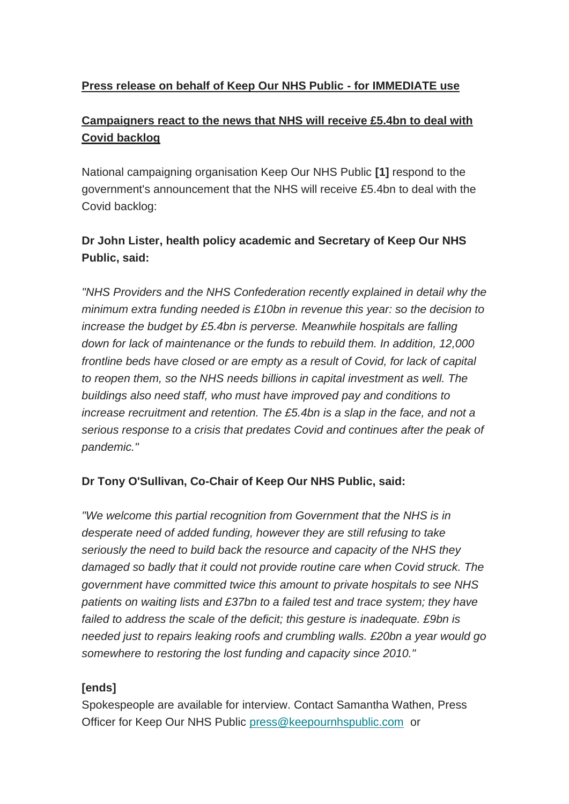### **Press release on behalf of Keep Our NHS Public - for IMMEDIATE use**

# **Campaigners react to the news that NHS will receive £5.4bn to deal with Covid backlog**

National campaigning organisation Keep Our NHS Public **[1]** respond to the government's announcement that the NHS will receive £5.4bn to deal with the Covid backlog:

# **Dr John Lister, health policy academic and Secretary of Keep Our NHS Public, said:**

*"NHS Providers and the NHS Confederation recently explained in detail why the minimum extra funding needed is £10bn in revenue this year: so the decision to increase the budget by £5.4bn is perverse. Meanwhile hospitals are falling down for lack of maintenance or the funds to rebuild them. In addition, 12,000 frontline beds have closed or are empty as a result of Covid, for lack of capital to reopen them, so the NHS needs billions in capital investment as well. The buildings also need staff, who must have improved pay and conditions to increase recruitment and retention. The £5.4bn is a slap in the face, and not a serious response to a crisis that predates Covid and continues after the peak of pandemic."*

### **Dr Tony O'Sullivan, Co-Chair of Keep Our NHS Public, said:**

*"We welcome this partial recognition from Government that the NHS is in desperate need of added funding, however they are still refusing to take seriously the need to build back the resource and capacity of the NHS they damaged so badly that it could not provide routine care when Covid struck. The government have committed twice this amount to private hospitals to see NHS patients on waiting lists and £37bn to a failed test and trace system; they have failed to address the scale of the deficit; this gesture is inadequate. £9bn is needed just to repairs leaking roofs and crumbling walls. £20bn a year would go somewhere to restoring the lost funding and capacity since 2010."*

#### **[ends]**

Spokespeople are available for interview. Contact Samantha Wathen, Press Officer for Keep Our NHS Public [press@keepournhspublic.com](mailto:press@keepournhspublic.com) or